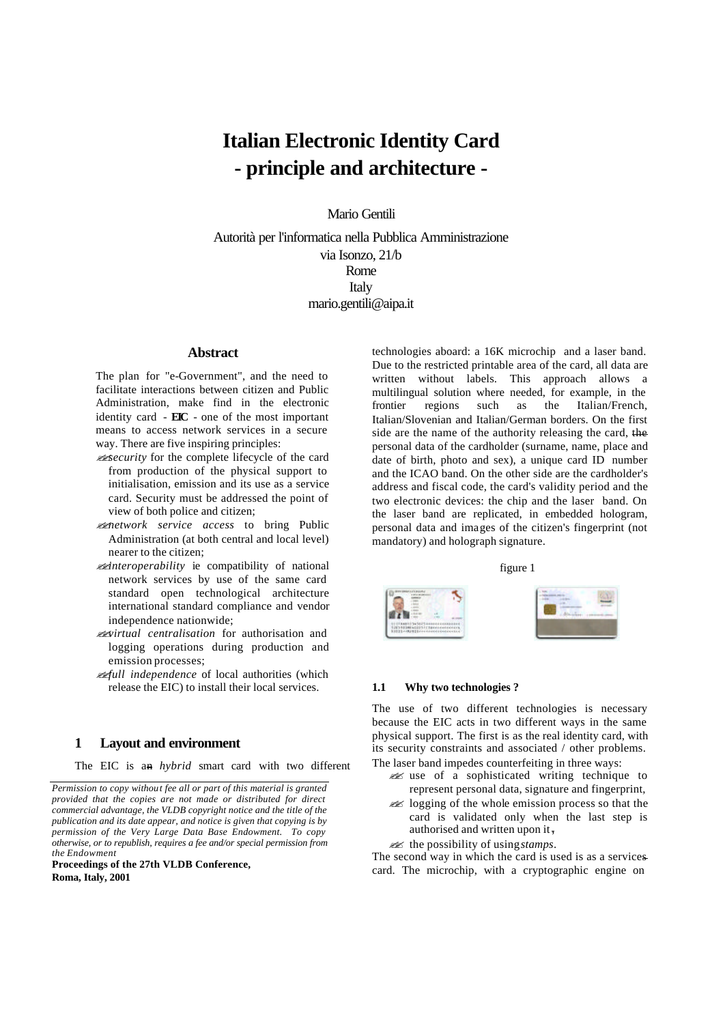# **Italian Electronic Identity Card - principle and architecture -**

Mario Gentili

Autorità per l'informatica nella Pubblica Amministrazione via Isonzo, 21/b Rome **Italy** mario.gentili@aipa.it

# **Abstract**

The plan for "e-Government", and the need to facilitate interactions between citizen and Public Administration, make find in the electronic identity card - **EIC** - one of the most important means to access network services in a secure way. There are five inspiring principles:

- ??*security* for the complete lifecycle of the card from production of the physical support to initialisation, emission and its use as a service card. Security must be addressed the point of view of both police and citizen;
- ??*network service access* to bring Public Administration (at both central and local level) nearer to the citizen;
- ??*interoperability* ie compatibility of national network services by use of the same card standard open technological architecture international standard compliance and vendor independence nationwide;
- ??*virtual centralisation* for authorisation and logging operations during production and emission processes;
- ??*full independence* of local authorities (which release the EIC) to install their local services.

# **1 Layout and environment**

The EIC is an *hybrid* smart card with two different

*Permission to copy without fee all or part of this material is granted provided that the copies are not made or distributed for direct commercial advantage, the VLDB copyright notice and the title of the publication and its date appear, and notice is given that copying is by permission of the Very Large Data Base Endowment. To copy otherwise, or to republish, requires a fee and/or special permission from the Endowment*

**Proceedings of the 27th VLDB Conference, Roma, Italy, 2001**

technologies aboard: a 16K microchip and a laser band. Due to the restricted printable area of the card, all data are written without labels. This approach allows a multilingual solution where needed, for example, in the frontier regions such as the Italian/French, Italian/Slovenian and Italian/German borders. On the first side are the name of the authority releasing the card, the personal data of the cardholder (surname, name, place and date of birth, photo and sex), a unique card ID number and the ICAO band. On the other side are the cardholder's address and fiscal code, the card's validity period and the two electronic devices: the chip and the laser band. On the laser band are replicated, in embedded hologram, personal data and images of the citizen's fingerprint (not mandatory) and holograph signature.





#### **1.1 Why two technologies ?**

The use of two different technologies is necessary because the EIC acts in two different ways in the same physical support. The first is as the real identity card, with its security constraints and associated / other problems. The laser band impedes counterfeiting in three ways:

- ?? use of a sophisticated writing technique to represent personal data, signature and fingerprint,
- $\mathscr{L}$  logging of the whole emission process so that the card is validated only when the last step is authorised and written upon it ,
- ?? the possibility of using *stamps*.

The second way in which the card is used is as a services card. The microchip, with a cryptographic engine on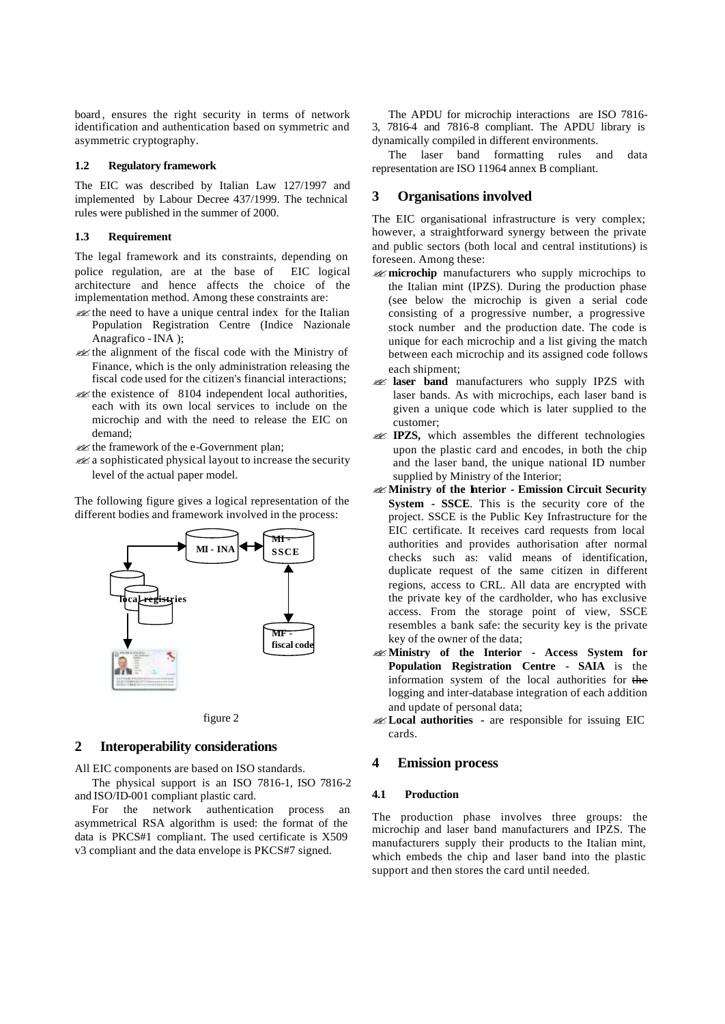board, ensures the right security in terms of network identification and authentication based on symmetric and asymmetric cryptography.

#### **1.2 Regulatory framework**

The EIC was described by Italian Law 127/1997 and implemented by Labour Decree 437/1999. The technical rules were published in the summer of 2000.

## **1.3 Requirement**

The legal framework and its constraints, depending on police regulation, are at the base of EIC logical architecture and hence affects the choice of the implementation method. Among these constraints are:

- $\mathcal{L}$  the need to have a unique central index for the Italian Population Registration Centre (Indice Nazionale Anagrafico - INA );
- $\mathcal{L}$  the alignment of the fiscal code with the Ministry of Finance, which is the only administration releasing the fiscal code used for the citizen's financial interactions;
- $\mathscr{L}$  the existence of 8104 independent local authorities, each with its own local services to include on the microchip and with the need to release the EIC on demand;

 $\mathscr{A}$  the framework of the e-Government plan:

 $\mathscr{A}$  a sophisticated physical layout to increase the security level of the actual paper model.

The following figure gives a logical representation of the different bodies and framework involved in the process:





## **2 Interoperability considerations**

All EIC components are based on ISO standards.

The physical support is an ISO 7816-1, ISO 7816-2 and ISO/ID-001 compliant plastic card.

For the network authentication process an asymmetrical RSA algorithm is used: the format of the data is PKCS#1 compliant. The used certificate is X509 v3 compliant and the data envelope is PKCS#7 signed.

The APDU for microchip interactions are ISO 7816- 3, 7816-4 and 7816-8 compliant. The APDU library is dynamically compiled in different environments.

The laser band formatting rules and data representation are ISO 11964 annex B compliant.

# **3 Organisations involved**

The EIC organisational infrastructure is very complex; however, a straightforward synergy between the private and public sectors (both local and central institutions) is foreseen. Among these:

- **ex microchip** manufacturers who supply microchips to the Italian mint (IPZS). During the production phase (see below the microchip is given a serial code consisting of a progressive number, a progressive stock number and the production date. The code is unique for each microchip and a list giving the match between each microchip and its assigned code follows each shipment;
- **ex laser band** manufacturers who supply IPZS with laser bands. As with microchips, each laser band is given a unique code which is later supplied to the customer;
- **EXECUAL IPZS**, which assembles the different technologies upon the plastic card and encodes, in both the chip and the laser band, the unique national ID number supplied by Ministry of the Interior;
- ? **Ministry of the Interior Emission Circuit Security System - SSCE**. This is the security core of the project. SSCE is the Public Key Infrastructure for the EIC certificate. It receives card requests from local authorities and provides authorisation after normal checks such as: valid means of identification, duplicate request of the same citizen in different regions, access to CRL. All data are encrypted with the private key of the cardholder, who has exclusive access. From the storage point of view, SSCE resembles a bank safe: the security key is the private key of the owner of the data;
- ? **Ministry of the Interior Access System for Population Registration Centre - SAIA** is the information system of the local authorities for the logging and inter-database integration of each addition and update of personal data;
- ? **Local authorities -** are responsible for issuing EIC cards.

# **4 Emission process**

#### **4.1 Production**

The production phase involves three groups: the microchip and laser band manufacturers and IPZS. The manufacturers supply their products to the Italian mint, which embeds the chip and laser band into the plastic support and then stores the card until needed.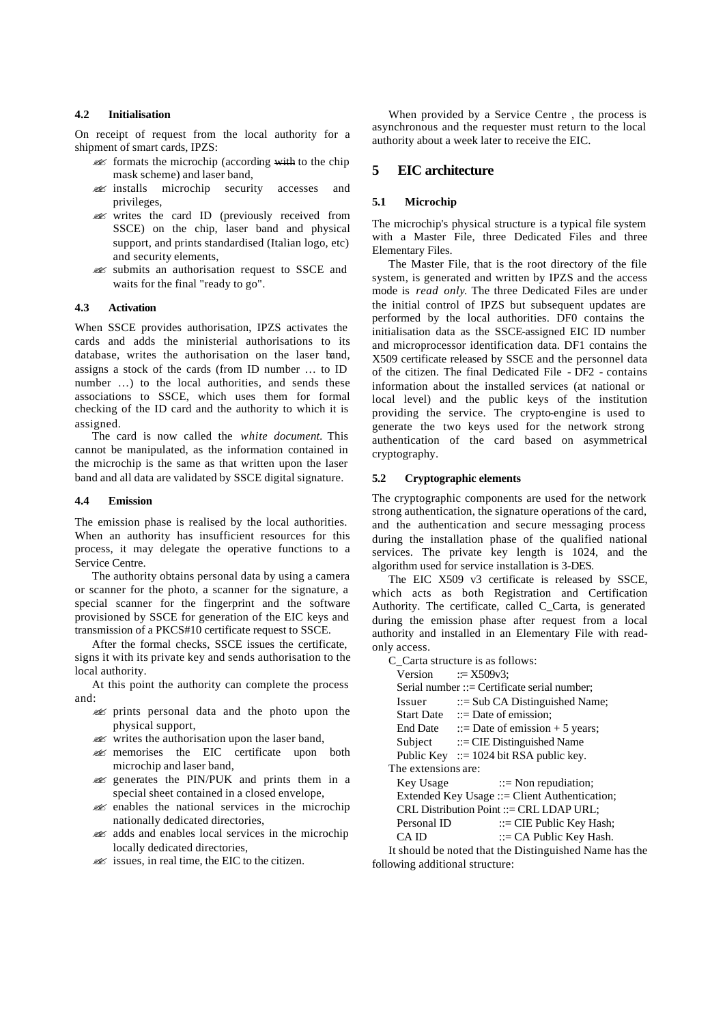# **4.2 Initialisation**

On receipt of request from the local authority for a shipment of smart cards, IPZS:

- $\mathcal{A}$  formats the microchip (according with to the chip mask scheme) and laser band,
- ? installs microchip security accesses and privileges,
- ? writes the card ID (previously received from SSCE) on the chip, laser band and physical support, and prints standardised (Italian logo, etc) and security elements,
- ? submits an authorisation request to SSCE and waits for the final "ready to go".

#### **4.3 Activation**

When SSCE provides authorisation, IPZS activates the cards and adds the ministerial authorisations to its database, writes the authorisation on the laser band, assigns a stock of the cards (from ID number … to ID number …) to the local authorities, and sends these associations to SSCE, which uses them for formal checking of the ID card and the authority to which it is assigned.

The card is now called the *white document.* This cannot be manipulated, as the information contained in the microchip is the same as that written upon the laser band and all data are validated by SSCE digital signature.

#### **4.4 Emission**

The emission phase is realised by the local authorities. When an authority has insufficient resources for this process, it may delegate the operative functions to a Service Centre.

The authority obtains personal data by using a camera or scanner for the photo, a scanner for the signature, a special scanner for the fingerprint and the software provisioned by SSCE for generation of the EIC keys and transmission of a PKCS#10 certificate request to SSCE.

After the formal checks, SSCE issues the certificate, signs it with its private key and sends authorisation to the local authority.

At this point the authority can complete the process and:

- ? prints personal data and the photo upon the physical support,
- $\mathscr{L}$  writes the authorisation upon the laser band,
- **EIC** certificate upon both microchip and laser band,
- ? generates the PIN/PUK and prints them in a special sheet contained in a closed envelope,
- $\mathscr{A}$  enables the national services in the microchip nationally dedicated directories,
- ? adds and enables local services in the microchip locally dedicated directories,
- $\mathscr{A}$  issues, in real time, the EIC to the citizen.

When provided by a Service Centre , the process is asynchronous and the requester must return to the local authority about a week later to receive the EIC.

## **5 EIC architecture**

## **5.1 Microchip**

The microchip's physical structure is a typical file system with a Master File, three Dedicated Files and three Elementary Files.

The Master File, that is the root directory of the file system, is generated and written by IPZS and the access mode is *read only*. The three Dedicated Files are under the initial control of IPZS but subsequent updates are performed by the local authorities. DF0 contains the initialisation data as the SSCE-assigned EIC ID number and microprocessor identification data. DF1 contains the X509 certificate released by SSCE and the personnel data of the citizen. The final Dedicated File - DF2 - contains information about the installed services (at national or local level) and the public keys of the institution providing the service. The crypto-engine is used to generate the two keys used for the network strong authentication of the card based on asymmetrical cryptography.

#### **5.2 Cryptographic elements**

The cryptographic components are used for the network strong authentication, the signature operations of the card, and the authentication and secure messaging process during the installation phase of the qualified national services. The private key length is 1024, and the algorithm used for service installation is 3-DES.

The EIC X509 v3 certificate is released by SSCE, which acts as both Registration and Certification Authority. The certificate, called C\_Carta, is generated during the emission phase after request from a local authority and installed in an Elementary File with readonly access.

C\_Carta structure is as follows:  $Version$   $\mathbf{r} = \mathbf{X}509v3$ Serial number ::= Certificate serial number; Issuer ::= Sub CA Distinguished Name; Start Date  $::=$  Date of emission; End Date  $::=$  Date of emission + 5 years;  $Subject \t::= CIE Distinguished Name$ Public Key  $\therefore$  = 1024 bit RSA public key. The extensions are: Key Usage  $::=$  Non repudiation; Extended Key Usage ::= Client Authentication; CRL Distribution Point ::= CRL LDAP URL; Personal ID ::= CIE Public Key Hash; CA ID ::= CA Public Key Hash. It should be noted that the Distinguished Name has the following additional structure: